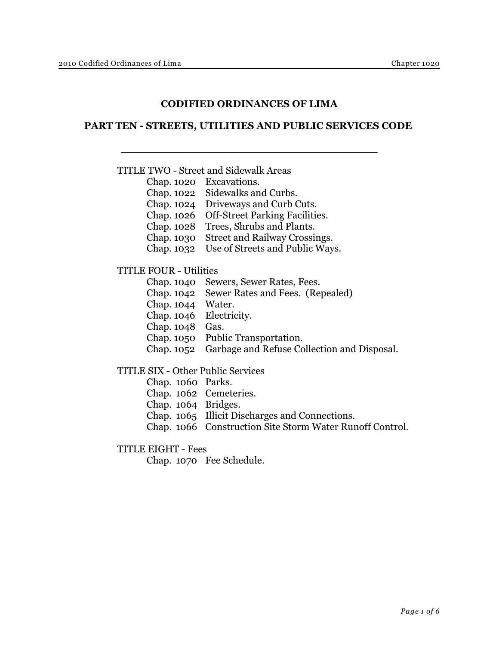# **CODIFIED ORDINANCES OF LIMA**

## **PART TEN - STREETS, UTILITIES AND PUBLIC SERVICES CODE**

### TITLE TWO - Street and Sidewalk Areas

- Chap. 1020 Excavations.
- Chap. 1022 Sidewalks and Curbs.
- Chap. 1024 Driveways and Curb Cuts.

 $\frac{1}{2}$  ,  $\frac{1}{2}$  ,  $\frac{1}{2}$  ,  $\frac{1}{2}$  ,  $\frac{1}{2}$  ,  $\frac{1}{2}$  ,  $\frac{1}{2}$  ,  $\frac{1}{2}$  ,  $\frac{1}{2}$  ,  $\frac{1}{2}$  ,  $\frac{1}{2}$  ,  $\frac{1}{2}$  ,  $\frac{1}{2}$  ,  $\frac{1}{2}$  ,  $\frac{1}{2}$  ,  $\frac{1}{2}$  ,  $\frac{1}{2}$  ,  $\frac{1}{2}$  ,  $\frac{1$ 

- Chap. 1026 Off-Street Parking Facilities.
- Chap. 1028 Trees, Shrubs and Plants.
- Chap. 1030 Street and Railway Crossings.
- Chap. 1032 Use of Streets and Public Ways.

#### TITLE FOUR - Utilities

- Chap. 1040 Sewers, Sewer Rates, Fees.
- Chap. 1042 Sewer Rates and Fees. (Repealed)
- Chap. 1044 Water.
- Chap. 1046 Electricity.
- Chap. 1048 Gas.
- Chap. 1050 Public Transportation.
- Chap. 1052 Garbage and Refuse Collection and Disposal.

#### TITLE SIX - Other Public Services

- Chap. 1060 Parks.
- Chap. 1062 Cemeteries.
- Chap. 1064 Bridges.
- Chap. 1065 Illicit Discharges and Connections.
- Chap. 1066 Construction Site Storm Water Runoff Control.

#### TITLE EIGHT - Fees

Chap. 1070 Fee Schedule.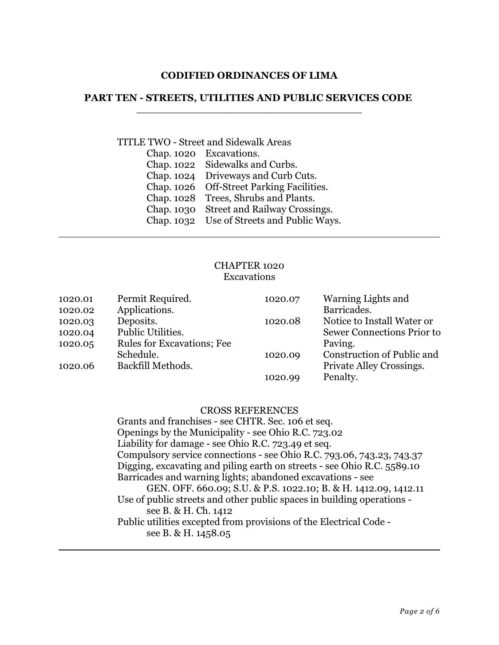## **CODIFIED ORDINANCES OF LIMA**

# **PART TEN - STREETS, UTILITIES AND PUBLIC SERVICES CODE**  \_\_\_\_\_\_\_\_\_\_\_\_\_\_\_\_\_\_\_\_\_\_\_\_\_\_\_\_\_\_\_\_\_\_\_\_

# TITLE TWO - Street and Sidewalk Areas

| Chap. 1020 | Excavations.                          |
|------------|---------------------------------------|
| Chap. 1022 | Sidewalks and Curbs.                  |
| Chap. 1024 | Driveways and Curb Cuts.              |
| Chap. 1026 | <b>Off-Street Parking Facilities.</b> |
| Chap. 1028 | Trees, Shrubs and Plants.             |
| Chap. 1030 | <b>Street and Railway Crossings.</b>  |
| Chap. 1032 | Use of Streets and Public Ways.       |

# CHAPTER 1020 Excavations

| 1020.01 | Permit Required.           | 1020.07 | Warning Lights and         |
|---------|----------------------------|---------|----------------------------|
| 1020.02 | Applications.              |         | Barricades.                |
| 1020.03 | Deposits.                  | 1020.08 | Notice to Install Water or |
| 1020.04 | Public Utilities.          |         | Sewer Connections Prior to |
| 1020.05 | Rules for Excavations; Fee |         | Paving.                    |
|         | Schedule.                  | 1020.09 | Construction of Public and |
| 1020.06 | Backfill Methods.          |         | Private Alley Crossings.   |
|         |                            | 1020.99 | Penalty.                   |

#### CROSS REFERENCES

Grants and franchises - see CHTR. Sec. 106 et seq. Openings by the Municipality - see Ohio R.C. 723.02 Liability for damage - see Ohio R.C. 723.49 et seq. Compulsory service connections - see Ohio R.C. 793.06, 743.23, 743.37 Digging, excavating and piling earth on streets - see Ohio R.C. 5589.10 Barricades and warning lights; abandoned excavations - see GEN. OFF. 660.09; S.U. & P.S. 1022.10; B. & H. 1412.09, 1412.11 Use of public streets and other public spaces in building operations see B. & H. Ch. 1412 Public utilities excepted from provisions of the Electrical Code -

see B. & H. 1458.05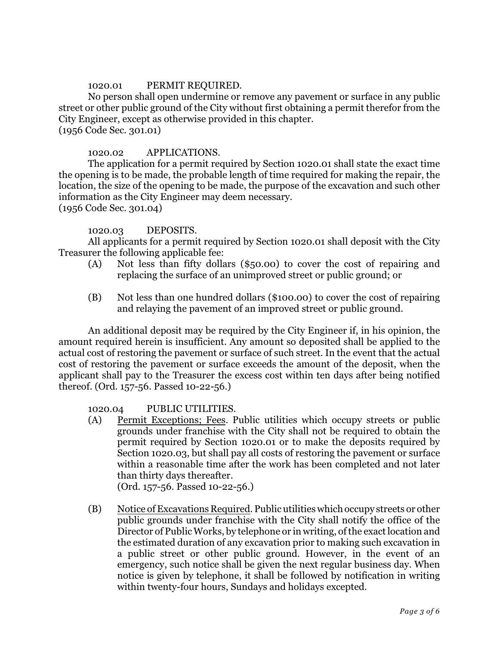### 1020.01 PERMIT REQUIRED.

No person shall open undermine or remove any pavement or surface in any public street or other public ground of the City without first obtaining a permit therefor from the City Engineer, except as otherwise provided in this chapter. (1956 Code Sec. 301.01)

### 1020.02 APPLICATIONS.

The application for a permit required by Section 1020.01 shall state the exact time the opening is to be made, the probable length of time required for making the repair, the location, the size of the opening to be made, the purpose of the excavation and such other information as the City Engineer may deem necessary.

(1956 Code Sec. 301.04)

#### 1020.03 DEPOSITS.

All applicants for a permit required by Section 1020.01 shall deposit with the City Treasurer the following applicable fee:

- (A) Not less than fifty dollars (\$50.00) to cover the cost of repairing and replacing the surface of an unimproved street or public ground; or
- (B) Not less than one hundred dollars (\$100.00) to cover the cost of repairing and relaying the pavement of an improved street or public ground.

An additional deposit may be required by the City Engineer if, in his opinion, the amount required herein is insufficient. Any amount so deposited shall be applied to the actual cost of restoring the pavement or surface of such street. In the event that the actual cost of restoring the pavement or surface exceeds the amount of the deposit, when the applicant shall pay to the Treasurer the excess cost within ten days after being notified thereof. (Ord. 157-56. Passed 10-22-56.)

1020.04 PUBLIC UTILITIES.

(A) Permit Exceptions; Fees. Public utilities which occupy streets or public grounds under franchise with the City shall not be required to obtain the permit required by Section 1020.01 or to make the deposits required by Section 1020.03, but shall pay all costs of restoring the pavement or surface within a reasonable time after the work has been completed and not later than thirty days thereafter.

(Ord. 157-56. Passed 10-22-56.)

(B) Notice of Excavations Required. Public utilities which occupy streets or other public grounds under franchise with the City shall notify the office of the Director of Public Works, by telephone or in writing, of the exact location and the estimated duration of any excavation prior to making such excavation in a public street or other public ground. However, in the event of an emergency, such notice shall be given the next regular business day. When notice is given by telephone, it shall be followed by notification in writing within twenty-four hours, Sundays and holidays excepted.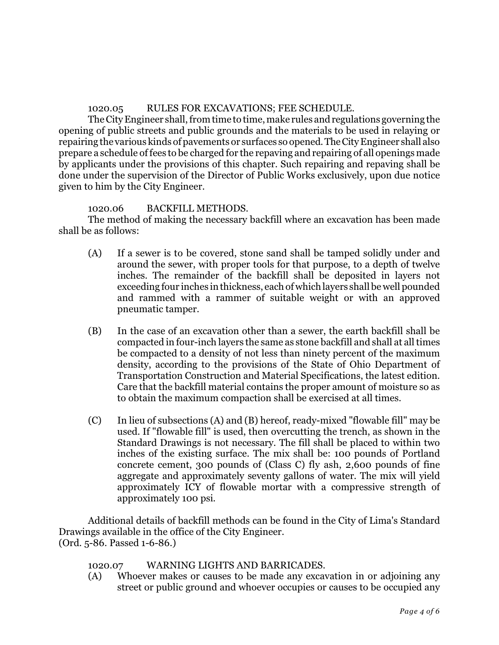# 1020.05 RULES FOR EXCAVATIONS; FEE SCHEDULE.

The City Engineer shall, from time to time, make rules and regulations governing the opening of public streets and public grounds and the materials to be used in relaying or repairing the various kinds of pavements or surfaces so opened. The City Engineer shall also prepare a schedule of fees to be charged for the repaving and repairing of all openings made by applicants under the provisions of this chapter. Such repairing and repaving shall be done under the supervision of the Director of Public Works exclusively, upon due notice given to him by the City Engineer.

# 1020.06 BACKFILL METHODS.

The method of making the necessary backfill where an excavation has been made shall be as follows:

- (A) If a sewer is to be covered, stone sand shall be tamped solidly under and around the sewer, with proper tools for that purpose, to a depth of twelve inches. The remainder of the backfill shall be deposited in layers not exceeding four inches in thickness, each of which layers shall be well pounded and rammed with a rammer of suitable weight or with an approved pneumatic tamper.
- (B) In the case of an excavation other than a sewer, the earth backfill shall be compacted in four-inch layers the same as stone backfill and shall at all times be compacted to a density of not less than ninety percent of the maximum density, according to the provisions of the State of Ohio Department of Transportation Construction and Material Specifications, the latest edition. Care that the backfill material contains the proper amount of moisture so as to obtain the maximum compaction shall be exercised at all times.
- (C) In lieu of subsections (A) and (B) hereof, ready-mixed "flowable fill" may be used. If "flowable fill" is used, then overcutting the trench, as shown in the Standard Drawings is not necessary. The fill shall be placed to within two inches of the existing surface. The mix shall be: 100 pounds of Portland concrete cement, 300 pounds of (Class C) fly ash, 2,600 pounds of fine aggregate and approximately seventy gallons of water. The mix will yield approximately ICY of flowable mortar with a compressive strength of approximately 100 psi.

Additional details of backfill methods can be found in the City of Lima's Standard Drawings available in the office of the City Engineer. (Ord. 5-86. Passed 1-6-86.)

# 1020.07 WARNING LIGHTS AND BARRICADES.

(A) Whoever makes or causes to be made any excavation in or adjoining any street or public ground and whoever occupies or causes to be occupied any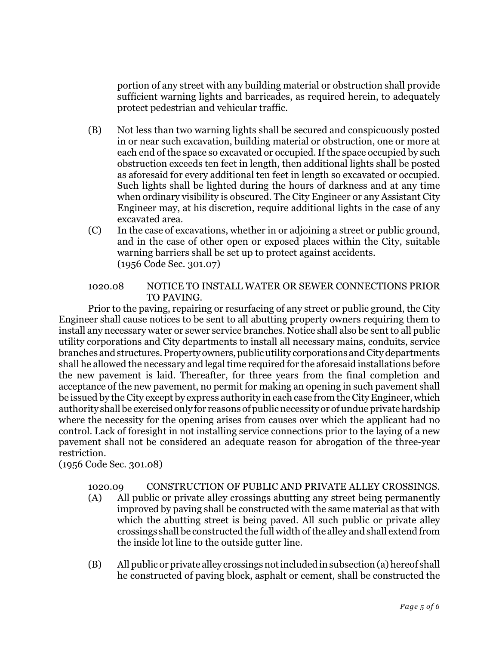portion of any street with any building material or obstruction shall provide sufficient warning lights and barricades, as required herein, to adequately protect pedestrian and vehicular traffic.

- (B) Not less than two warning lights shall be secured and conspicuously posted in or near such excavation, building material or obstruction, one or more at each end of the space so excavated or occupied. If the space occupied by such obstruction exceeds ten feet in length, then additional lights shall be posted as aforesaid for every additional ten feet in length so excavated or occupied. Such lights shall be lighted during the hours of darkness and at any time when ordinary visibility is obscured. The City Engineer or any Assistant City Engineer may, at his discretion, require additional lights in the case of any excavated area.
- (C) In the case of excavations, whether in or adjoining a street or public ground, and in the case of other open or exposed places within the City, suitable warning barriers shall be set up to protect against accidents. (1956 Code Sec. 301.07)

# 1020.08 NOTICE TO INSTALL WATER OR SEWER CONNECTIONS PRIOR TO PAVING.

Prior to the paving, repairing or resurfacing of any street or public ground, the City Engineer shall cause notices to be sent to all abutting property owners requiring them to install any necessary water or sewer service branches. Notice shall also be sent to all public utility corporations and City departments to install all necessary mains, conduits, service branches and structures. Property owners, public utility corporations and City departments shall he allowed the necessary and legal time required for the aforesaid installations before the new pavement is laid. Thereafter, for three years from the final completion and acceptance of the new pavement, no permit for making an opening in such pavement shall be issued by the City except by express authority in each case from the City Engineer, which authority shall be exercised only for reasons of public necessity or of undue private hardship where the necessity for the opening arises from causes over which the applicant had no control. Lack of foresight in not installing service connections prior to the laying of a new pavement shall not be considered an adequate reason for abrogation of the three-year restriction.

(1956 Code Sec. 301.08)

# 1020.09 CONSTRUCTION OF PUBLIC AND PRIVATE ALLEY CROSSINGS.

- (A) All public or private alley crossings abutting any street being permanently improved by paving shall be constructed with the same material as that with which the abutting street is being paved. All such public or private alley crossings shall be constructed the full width of the alley and shall extend from the inside lot line to the outside gutter line.
- (B) All public or private alley crossingsnot included in subsection (a) hereof shall he constructed of paving block, asphalt or cement, shall be constructed the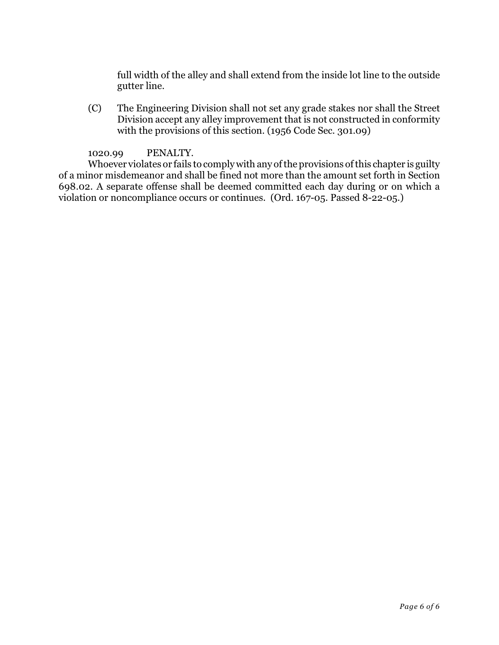full width of the alley and shall extend from the inside lot line to the outside gutter line.

(C) The Engineering Division shall not set any grade stakes nor shall the Street Division accept any alley improvement that is not constructed in conformity with the provisions of this section. (1956 Code Sec. 301.09)

# 1020.99 PENALTY.

Whoever violates or fails to comply with any of the provisions of this chapter is guilty of a minor misdemeanor and shall be fined not more than the amount set forth in Section 698.02. A separate offense shall be deemed committed each day during or on which a violation or noncompliance occurs or continues. (Ord. 167-05. Passed 8-22-05.)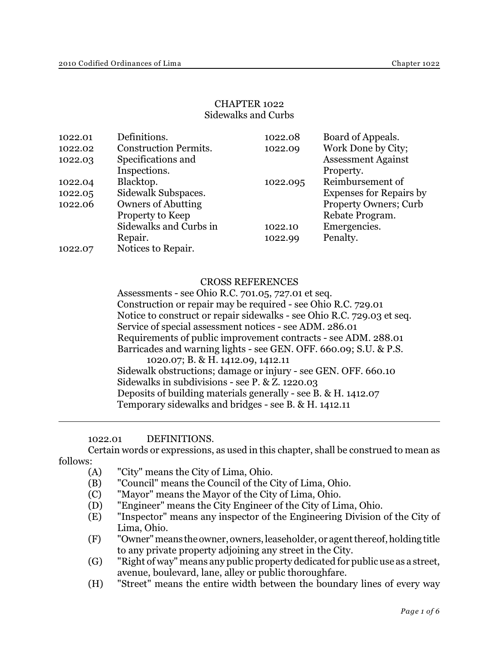## CHAPTER 1022 Sidewalks and Curbs

| 1022.01 | Definitions.                 | 1022.08  | Board of Appeals.              |
|---------|------------------------------|----------|--------------------------------|
| 1022.02 | <b>Construction Permits.</b> | 1022.09  | Work Done by City;             |
| 1022.03 | Specifications and           |          | <b>Assessment Against</b>      |
|         | Inspections.                 |          | Property.                      |
| 1022.04 | Blacktop.                    | 1022.095 | Reimbursement of               |
| 1022.05 | Sidewalk Subspaces.          |          | <b>Expenses for Repairs by</b> |
| 1022.06 | <b>Owners of Abutting</b>    |          | <b>Property Owners</b> ; Curb  |
|         | Property to Keep             |          | Rebate Program.                |
|         | Sidewalks and Curbs in       | 1022.10  | Emergencies.                   |
|         | Repair.                      | 1022.99  | Penalty.                       |
| 1022.07 | Notices to Repair.           |          |                                |

## CROSS REFERENCES

Assessments - see Ohio R.C. 701.05, 727.01 et seq. Construction or repair may be required - see Ohio R.C. 729.01 Notice to construct or repair sidewalks - see Ohio R.C. 729.03 et seq. Service of special assessment notices - see ADM. 286.01 Requirements of public improvement contracts - see ADM. 288.01 Barricades and warning lights - see GEN. OFF. 660.09; S.U. & P.S. 1020.07; B. & H. 1412.09, 1412.11 Sidewalk obstructions; damage or injury - see GEN. OFF. 660.10 Sidewalks in subdivisions - see P. & Z. 1220.03 Deposits of building materials generally - see B. & H. 1412.07 Temporary sidewalks and bridges - see B. & H. 1412.11

#### 1022.01 DEFINITIONS.

Certain words or expressions, as used in this chapter, shall be construed to mean as follows:

- (A) "City" means the City of Lima, Ohio.
- (B) "Council" means the Council of the City of Lima, Ohio.
- (C) "Mayor" means the Mayor of the City of Lima, Ohio.
- (D) "Engineer" means the City Engineer of the City of Lima, Ohio.
- (E) "Inspector" means any inspector of the Engineering Division of the City of Lima, Ohio.
- (F) "Owner" means the owner, owners, leaseholder, or agent thereof, holding title to any private property adjoining any street in the City.
- (G) "Right of way" means any public property dedicated for public use as a street, avenue, boulevard, lane, alley or public thoroughfare.
- (H) "Street" means the entire width between the boundary lines of every way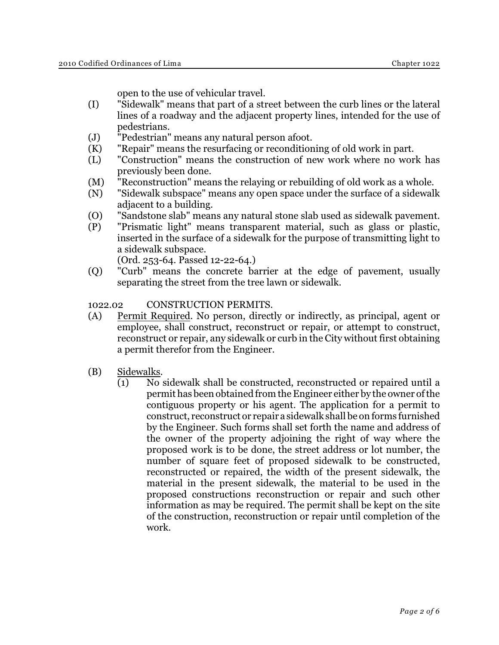open to the use of vehicular travel.

- (I) "Sidewalk" means that part of a street between the curb lines or the lateral lines of a roadway and the adjacent property lines, intended for the use of pedestrians.
- (J) "Pedestrian" means any natural person afoot.
- (K) "Repair" means the resurfacing or reconditioning of old work in part.
- (L) "Construction" means the construction of new work where no work has previously been done.
- (M) "Reconstruction" means the relaying or rebuilding of old work as a whole.
- (N) "Sidewalk subspace" means any open space under the surface of a sidewalk adjacent to a building.
- (O) "Sandstone slab" means any natural stone slab used as sidewalk pavement.
- (P) "Prismatic light" means transparent material, such as glass or plastic, inserted in the surface of a sidewalk for the purpose of transmitting light to a sidewalk subspace.

(Ord. 253-64. Passed 12-22-64.)

(Q) "Curb" means the concrete barrier at the edge of pavement, usually separating the street from the tree lawn or sidewalk.

# 1022.02 CONSTRUCTION PERMITS.

- (A) Permit Required. No person, directly or indirectly, as principal, agent or employee, shall construct, reconstruct or repair, or attempt to construct, reconstruct or repair, any sidewalk or curb in the City without first obtaining a permit therefor from the Engineer.
- (B) Sidewalks.
	- (1) No sidewalk shall be constructed, reconstructed or repaired until a permit has been obtained from the Engineer either by the owner of the contiguous property or his agent. The application for a permit to construct, reconstruct or repair a sidewalk shall be on forms furnished by the Engineer. Such forms shall set forth the name and address of the owner of the property adjoining the right of way where the proposed work is to be done, the street address or lot number, the number of square feet of proposed sidewalk to be constructed, reconstructed or repaired, the width of the present sidewalk, the material in the present sidewalk, the material to be used in the proposed constructions reconstruction or repair and such other information as may be required. The permit shall be kept on the site of the construction, reconstruction or repair until completion of the work.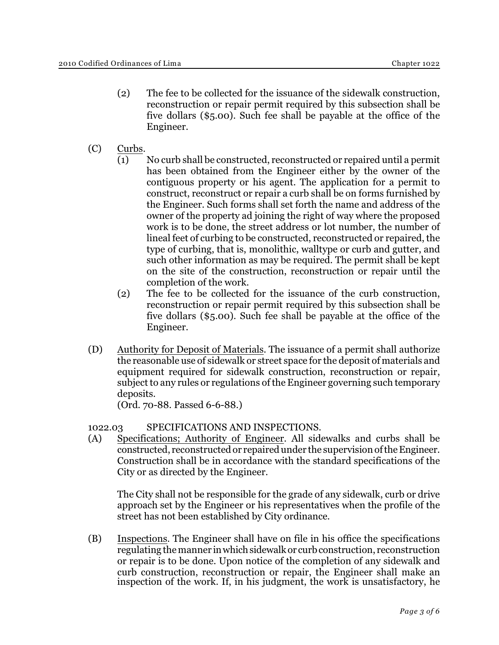- (2) The fee to be collected for the issuance of the sidewalk construction, reconstruction or repair permit required by this subsection shall be five dollars (\$5.00). Such fee shall be payable at the office of the Engineer.
- (C) Curbs.
	- (1) No curb shall be constructed, reconstructed or repaired until a permit has been obtained from the Engineer either by the owner of the contiguous property or his agent. The application for a permit to construct, reconstruct or repair a curb shall be on forms furnished by the Engineer. Such forms shall set forth the name and address of the owner of the property ad joining the right of way where the proposed work is to be done, the street address or lot number, the number of lineal feet of curbing to be constructed, reconstructed or repaired, the type of curbing, that is, monolithic, walltype or curb and gutter, and such other information as may be required. The permit shall be kept on the site of the construction, reconstruction or repair until the completion of the work.
	- (2) The fee to be collected for the issuance of the curb construction, reconstruction or repair permit required by this subsection shall be five dollars (\$5.00). Such fee shall be payable at the office of the Engineer.
- (D) Authority for Deposit of Materials. The issuance of a permit shall authorize the reasonable use of sidewalk or street space for the deposit of materials and equipment required for sidewalk construction, reconstruction or repair, subject to any rules or regulations of the Engineer governing such temporary deposits.

(Ord. 70-88. Passed 6-6-88.)

# 1022.03 SPECIFICATIONS AND INSPECTIONS.

(A) Specifications; Authority of Engineer. All sidewalks and curbs shall be constructed, reconstructed or repaired under the supervision of the Engineer. Construction shall be in accordance with the standard specifications of the City or as directed by the Engineer.

The City shall not be responsible for the grade of any sidewalk, curb or drive approach set by the Engineer or his representatives when the profile of the street has not been established by City ordinance.

(B) Inspections. The Engineer shall have on file in his office the specifications regulating the manner in which sidewalk or curb construction, reconstruction or repair is to be done. Upon notice of the completion of any sidewalk and curb construction, reconstruction or repair, the Engineer shall make an inspection of the work. If, in his judgment, the work is unsatisfactory, he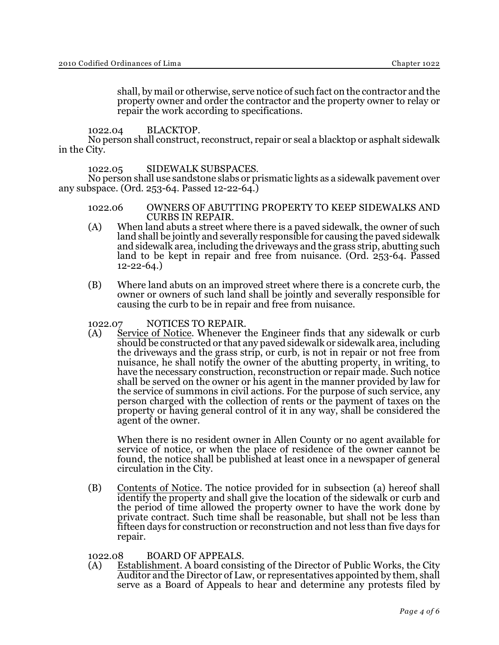shall, by mail or otherwise, serve notice of such fact on the contractor and the property owner and order the contractor and the property owner to relay or repair the work according to specifications.

1022.04 BLACKTOP.

No person shall construct, reconstruct, repair or seal a blacktop or asphalt sidewalk in the City.

1022.05 SIDEWALK SUBSPACES.

No person shall use sandstone slabs or prismatic lights as a sidewalk pavement over any subspace. (Ord. 253-64. Passed 12-22-64.)

- 1022.06 OWNERS OF ABUTTING PROPERTY TO KEEP SIDEWALKS AND CURBS IN REPAIR.
- (A) When land abuts a street where there is a paved sidewalk, the owner of such land shall be jointly and severally responsible for causing the paved sidewalk and sidewalk area, including the driveways and the grass strip, abutting such land to be kept in repair and free from nuisance. (Ord. 253-64. Passed 12-22-64.)
- (B) Where land abuts on an improved street where there is a concrete curb, the owner or owners of such land shall be jointly and severally responsible for causing the curb to be in repair and free from nuisance.

1022.07 NOTICES TO REPAIR.

(A) Service of Notice. Whenever the Engineer finds that any sidewalk or curb should be constructed or that any paved sidewalk or sidewalk area, including the driveways and the grass strip, or curb, is not in repair or not free from nuisance, he shall notify the owner of the abutting property, in writing, to have the necessary construction, reconstruction or repair made. Such notice shall be served on the owner or his agent in the manner provided by law for the service of summons in civil actions. For the purpose of such service, any person charged with the collection of rents or the payment of taxes on the property or having general control of it in any way, shall be considered the agent of the owner.

When there is no resident owner in Allen County or no agent available for service of notice, or when the place of residence of the owner cannot be found, the notice shall be published at least once in a newspaper of general circulation in the City.

(B) Contents of Notice. The notice provided for in subsection (a) hereof shall identify the property and shall give the location of the sidewalk or curb and the period of time allowed the property owner to have the work done by private contract. Such time shall be reasonable, but shall not be less than fifteen days for construction or reconstruction and not less than five days for repair.

1022.08 BOARD OF APPEALS.

(A) Establishment. A board consisting of the Director of Public Works, the City Auditor and the Director of Law, or representatives appointed by them, shall serve as a Board of Appeals to hear and determine any protests filed by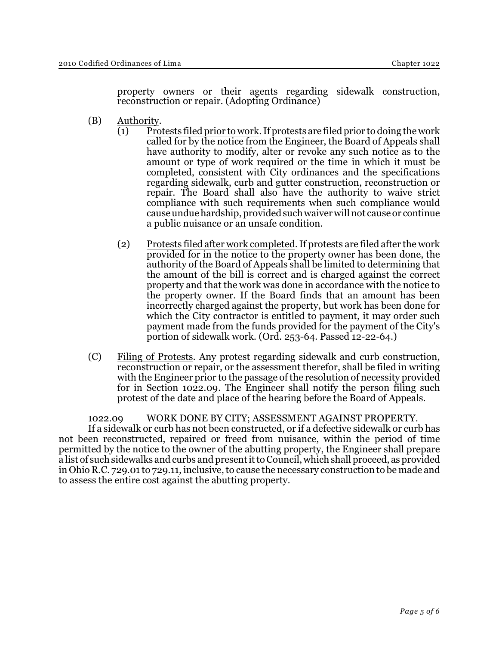property owners or their agents regarding sidewalk construction, reconstruction or repair. (Adopting Ordinance)

- (B) Authority.
	- (1) Protests filed prior to work. If protests are filed prior to doing the work called for by the notice from the Engineer, the Board of Appeals shall have authority to modify, alter or revoke any such notice as to the amount or type of work required or the time in which it must be completed, consistent with City ordinances and the specifications regarding sidewalk, curb and gutter construction, reconstruction or repair. The Board shall also have the authority to waive strict compliance with such requirements when such compliance would cause undue hardship, provided such waiver will not cause or continue a public nuisance or an unsafe condition.
	- (2) Protests filed after work completed. If protests are filed after the work provided for in the notice to the property owner has been done, the authority of the Board of Appeals shall be limited to determining that the amount of the bill is correct and is charged against the correct property and that the work was done in accordance with the notice to the property owner. If the Board finds that an amount has been incorrectly charged against the property, but work has been done for which the City contractor is entitled to payment, it may order such payment made from the funds provided for the payment of the City's portion of sidewalk work. (Ord. 253-64. Passed 12-22-64.)
- (C) Filing of Protests. Any protest regarding sidewalk and curb construction, reconstruction or repair, or the assessment therefor, shall be filed in writing with the Engineer prior to the passage of the resolution of necessity provided for in Section 1022.09. The Engineer shall notify the person filing such protest of the date and place of the hearing before the Board of Appeals.

1022.09 WORK DONE BY CITY; ASSESSMENT AGAINST PROPERTY. If a sidewalk or curb has not been constructed, or if a defective sidewalk or curb has not been reconstructed, repaired or freed from nuisance, within the period of time permitted by the notice to the owner of the abutting property, the Engineer shall prepare a list of such sidewalks and curbs and present it to Council, which shall proceed, as provided in Ohio R.C. 729.01 to 729.11, inclusive, to cause the necessary construction to be made and to assess the entire cost against the abutting property.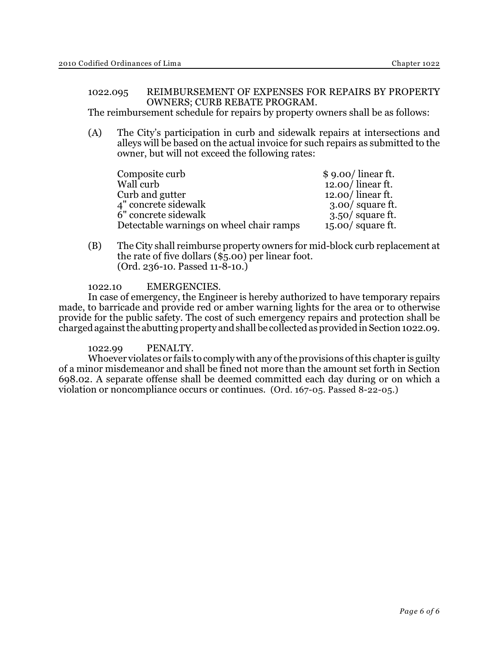# 1022.095 REIMBURSEMENT OF EXPENSES FOR REPAIRS BY PROPERTY OWNERS; CURB REBATE PROGRAM.

The reimbursement schedule for repairs by property owners shall be as follows:

(A) The City's participation in curb and sidewalk repairs at intersections and alleys will be based on the actual invoice for such repairs as submitted to the owner, but will not exceed the following rates:

| Composite curb                           | $$9.00/$ linear ft. |
|------------------------------------------|---------------------|
| Wall curb                                | $12.00/$ linear ft. |
| Curb and gutter                          | $12.00/$ linear ft. |
| 4" concrete sidewalk                     | $3.00/$ square ft.  |
| 6" concrete sidewalk                     | $3.50/$ square ft.  |
| Detectable warnings on wheel chair ramps | $15.00/$ square ft. |

(B) The City shall reimburse property owners for mid-block curb replacement at the rate of five dollars (\$5.00) per linear foot. (Ord. 236-10. Passed 11-8-10.)

#### 1022.10 EMERGENCIES.

In case of emergency, the Engineer is hereby authorized to have temporary repairs made, to barricade and provide red or amber warning lights for the area or to otherwise provide for the public safety. The cost of such emergency repairs and protection shall be charged against the abutting property and shall be collected as provided in Section 1022.09.

#### 1022.99 PENALTY.

Whoever violates or fails to comply with any of the provisions of this chapter is guilty of a minor misdemeanor and shall be fined not more than the amount set forth in Section 698.02. A separate offense shall be deemed committed each day during or on which a violation or noncompliance occurs or continues. (Ord. 167-05. Passed 8-22-05.)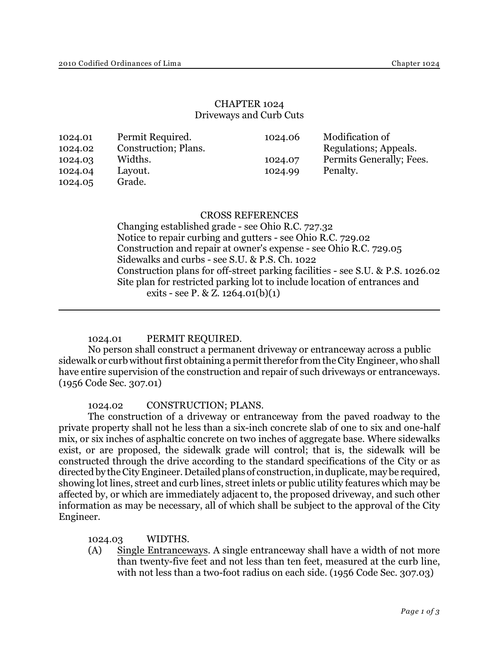# CHAPTER 1024 Driveways and Curb Cuts

| Permit Required.<br>1024.01<br>Construction; Plans.<br>1024.02<br>Widths.<br>1024.03<br>Layout.<br>1024.04<br>Grade.<br>1024.05 | 1024.06<br>1024.07<br>1024.99 | Modification of<br>Regulations; Appeals.<br>Permits Generally; Fees.<br>Penalty. |
|---------------------------------------------------------------------------------------------------------------------------------|-------------------------------|----------------------------------------------------------------------------------|
|---------------------------------------------------------------------------------------------------------------------------------|-------------------------------|----------------------------------------------------------------------------------|

#### CROSS REFERENCES

Changing established grade - see Ohio R.C. 727.32 Notice to repair curbing and gutters - see Ohio R.C. 729.02 Construction and repair at owner's expense - see Ohio R.C. 729.05 Sidewalks and curbs - see S.U. & P.S. Ch. 1022 Construction plans for off-street parking facilities - see S.U. & P.S. 1026.02 Site plan for restricted parking lot to include location of entrances and exits - see P. & Z.  $1264.01(b)(1)$ 

## 1024.01 PERMIT REQUIRED.

No person shall construct a permanent driveway or entranceway across a public sidewalk or curb without first obtaining a permit therefor from the City Engineer, who shall have entire supervision of the construction and repair of such driveways or entranceways. (1956 Code Sec. 307.01)

1024.02 CONSTRUCTION; PLANS.

The construction of a driveway or entranceway from the paved roadway to the private property shall not he less than a six-inch concrete slab of one to six and one-half mix, or six inches of asphaltic concrete on two inches of aggregate base. Where sidewalks exist, or are proposed, the sidewalk grade will control; that is, the sidewalk will be constructed through the drive according to the standard specifications of the City or as directed by the City Engineer. Detailed plans of construction, in duplicate, may be required, showing lot lines, street and curb lines, street inlets or public utility features which may be affected by, or which are immediately adjacent to, the proposed driveway, and such other information as may be necessary, all of which shall be subject to the approval of the City Engineer.

1024.03 WIDTHS.

(A) Single Entranceways. A single entranceway shall have a width of not more than twenty-five feet and not less than ten feet, measured at the curb line, with not less than a two-foot radius on each side. (1956 Code Sec. 307.03)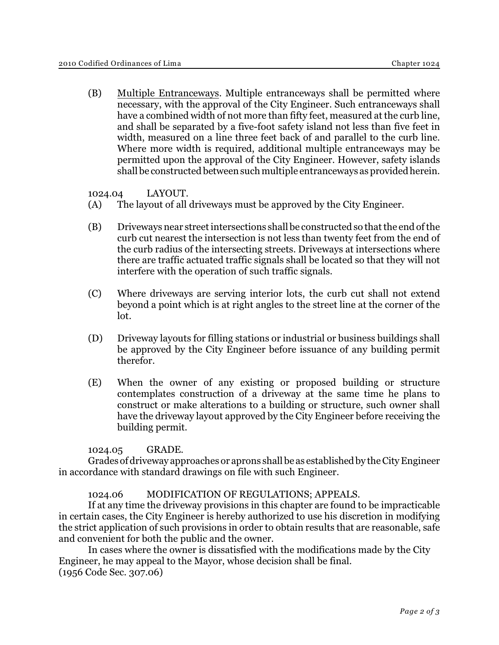(B) Multiple Entranceways. Multiple entranceways shall be permitted where necessary, with the approval of the City Engineer. Such entranceways shall have a combined width of not more than fifty feet, measured at the curb line, and shall be separated by a five-foot safety island not less than five feet in width, measured on a line three feet back of and parallel to the curb line. Where more width is required, additional multiple entranceways may be permitted upon the approval of the City Engineer. However, safety islands shall be constructed between such multiple entranceways as provided herein.

1024.04 LAYOUT.

- (A) The layout of all driveways must be approved by the City Engineer.
- (B) Driveways near street intersections shall be constructed so that the end of the curb cut nearest the intersection is not less than twenty feet from the end of the curb radius of the intersecting streets. Driveways at intersections where there are traffic actuated traffic signals shall be located so that they will not interfere with the operation of such traffic signals.
- (C) Where driveways are serving interior lots, the curb cut shall not extend beyond a point which is at right angles to the street line at the corner of the lot.
- (D) Driveway layouts for filling stations or industrial or business buildings shall be approved by the City Engineer before issuance of any building permit therefor.
- (E) When the owner of any existing or proposed building or structure contemplates construction of a driveway at the same time he plans to construct or make alterations to a building or structure, such owner shall have the driveway layout approved by the City Engineer before receiving the building permit.

## 1024.05 GRADE.

Grades of driveway approaches or aprons shall be as established by the City Engineer in accordance with standard drawings on file with such Engineer.

#### 1024.06 MODIFICATION OF REGULATIONS; APPEALS.

If at any time the driveway provisions in this chapter are found to be impracticable in certain cases, the City Engineer is hereby authorized to use his discretion in modifying the strict application of such provisions in order to obtain results that are reasonable, safe and convenient for both the public and the owner.

In cases where the owner is dissatisfied with the modifications made by the City Engineer, he may appeal to the Mayor, whose decision shall be final. (1956 Code Sec. 307.06)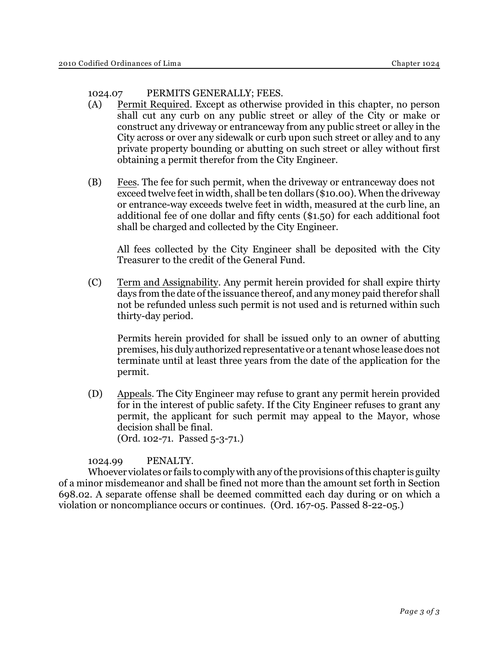# 1024.07 PERMITS GENERALLY; FEES.

- (A) Permit Required. Except as otherwise provided in this chapter, no person shall cut any curb on any public street or alley of the City or make or construct any driveway or entranceway from any public street or alley in the City across or over any sidewalk or curb upon such street or alley and to any private property bounding or abutting on such street or alley without first obtaining a permit therefor from the City Engineer.
- (B) Fees. The fee for such permit, when the driveway or entranceway does not exceed twelve feet in width, shall be ten dollars (\$10.00). When the driveway or entrance-way exceeds twelve feet in width, measured at the curb line, an additional fee of one dollar and fifty cents (\$1.50) for each additional foot shall be charged and collected by the City Engineer.

All fees collected by the City Engineer shall be deposited with the City Treasurer to the credit of the General Fund.

(C) Term and Assignability. Any permit herein provided for shall expire thirty days from the date of the issuance thereof, and any money paid therefor shall not be refunded unless such permit is not used and is returned within such thirty-day period.

Permits herein provided for shall be issued only to an owner of abutting premises, his duly authorized representative or a tenant whose lease does not terminate until at least three years from the date of the application for the permit.

(D) Appeals. The City Engineer may refuse to grant any permit herein provided for in the interest of public safety. If the City Engineer refuses to grant any permit, the applicant for such permit may appeal to the Mayor, whose decision shall be final. (Ord. 102-71. Passed 5-3-71.)

1024.99 PENALTY.

Whoever violates or fails to comply with any of the provisions of this chapter is guilty of a minor misdemeanor and shall be fined not more than the amount set forth in Section 698.02. A separate offense shall be deemed committed each day during or on which a violation or noncompliance occurs or continues. (Ord. 167-05. Passed 8-22-05.)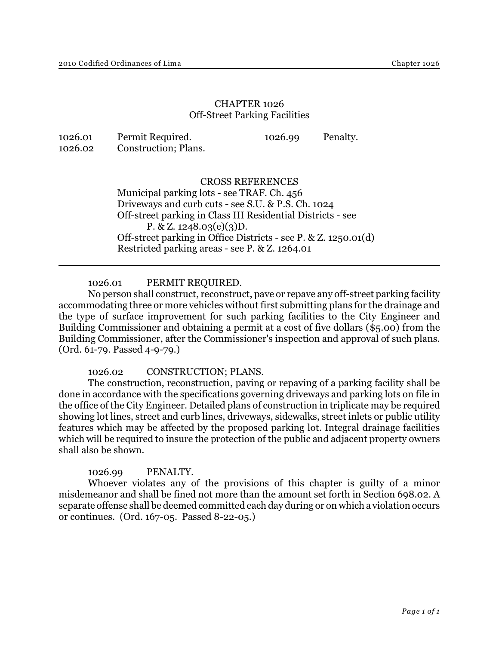# CHAPTER 1026 Off-Street Parking Facilities

| 1026.01 | Permit Required.     | 1026.99 | Penalty. |
|---------|----------------------|---------|----------|
| 1026.02 | Construction; Plans. |         |          |

## CROSS REFERENCES

Municipal parking lots - see TRAF. Ch. 456 Driveways and curb cuts - see S.U. & P.S. Ch. 1024 Off-street parking in Class III Residential Districts - see P. & Z.  $1248.03(e)(3)D$ . Off-street parking in Office Districts - see P. & Z. 1250.01(d) Restricted parking areas - see P. & Z. 1264.01

1026.01 PERMIT REQUIRED.

No person shall construct, reconstruct, pave or repave any off-street parking facility accommodating three or more vehicles without first submitting plans for the drainage and the type of surface improvement for such parking facilities to the City Engineer and Building Commissioner and obtaining a permit at a cost of five dollars (\$5.00) from the Building Commissioner, after the Commissioner's inspection and approval of such plans. (Ord. 61-79. Passed 4-9-79.)

1026.02 CONSTRUCTION; PLANS.

The construction, reconstruction, paving or repaving of a parking facility shall be done in accordance with the specifications governing driveways and parking lots on file in the office of the City Engineer. Detailed plans of construction in triplicate may be required showing lot lines, street and curb lines, driveways, sidewalks, street inlets or public utility features which may be affected by the proposed parking lot. Integral drainage facilities which will be required to insure the protection of the public and adjacent property owners shall also be shown.

1026.99 PENALTY.

Whoever violates any of the provisions of this chapter is guilty of a minor misdemeanor and shall be fined not more than the amount set forth in Section 698.02. A separate offense shall be deemed committed each day during or on which a violation occurs or continues. (Ord. 167-05. Passed 8-22-05.)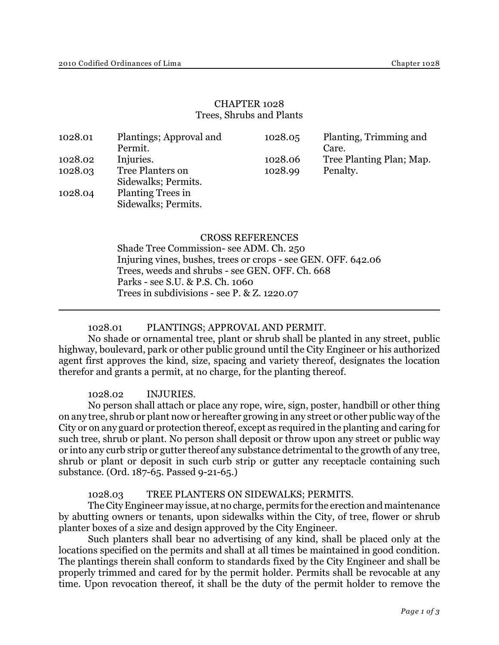# CHAPTER 1028 Trees, Shrubs and Plants

| 1028.01 | Plantings; Approval and<br>Permit.              | 1028.05 | Planting, Trimming and<br>Care. |
|---------|-------------------------------------------------|---------|---------------------------------|
| 1028.02 | Injuries.                                       | 1028.06 | Tree Planting Plan; Map.        |
| 1028.03 | Tree Planters on<br>Sidewalks; Permits.         | 1028.99 | Penalty.                        |
| 1028.04 | <b>Planting Trees in</b><br>Sidewalks; Permits. |         |                                 |

# CROSS REFERENCES

Shade Tree Commission- see ADM. Ch. 250 Injuring vines, bushes, trees or crops - see GEN. OFF. 642.06 Trees, weeds and shrubs - see GEN. OFF. Ch. 668 Parks - see S.U. & P.S. Ch. 1060 Trees in subdivisions - see P. & Z. 1220.07

### 1028.01 PLANTINGS; APPROVAL AND PERMIT.

No shade or ornamental tree, plant or shrub shall be planted in any street, public highway, boulevard, park or other public ground until the City Engineer or his authorized agent first approves the kind, size, spacing and variety thereof, designates the location therefor and grants a permit, at no charge, for the planting thereof.

#### 1028.02 INJURIES.

No person shall attach or place any rope, wire, sign, poster, handbill or other thing on any tree, shrub or plant now or hereafter growing in any street or other public way of the City or on any guard or protection thereof, except as required in the planting and caring for such tree, shrub or plant. No person shall deposit or throw upon any street or public way or into any curb strip or gutter thereof any substance detrimental to the growth of any tree, shrub or plant or deposit in such curb strip or gutter any receptacle containing such substance. (Ord. 187-65. Passed 9-21-65.)

#### 1028.03 TREE PLANTERS ON SIDEWALKS; PERMITS.

The City Engineer may issue, at no charge, permits for the erection and maintenance by abutting owners or tenants, upon sidewalks within the City, of tree, flower or shrub planter boxes of a size and design approved by the City Engineer.

Such planters shall bear no advertising of any kind, shall be placed only at the locations specified on the permits and shall at all times be maintained in good condition. The plantings therein shall conform to standards fixed by the City Engineer and shall be properly trimmed and cared for by the permit holder. Permits shall be revocable at any time. Upon revocation thereof, it shall be the duty of the permit holder to remove the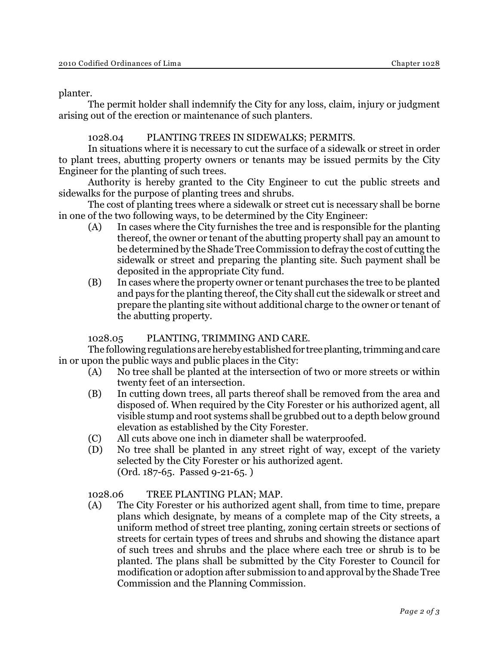planter.

The permit holder shall indemnify the City for any loss, claim, injury or judgment arising out of the erection or maintenance of such planters.

# 1028.04 PLANTING TREES IN SIDEWALKS; PERMITS.

In situations where it is necessary to cut the surface of a sidewalk or street in order to plant trees, abutting property owners or tenants may be issued permits by the City Engineer for the planting of such trees.

Authority is hereby granted to the City Engineer to cut the public streets and sidewalks for the purpose of planting trees and shrubs.

The cost of planting trees where a sidewalk or street cut is necessary shall be borne in one of the two following ways, to be determined by the City Engineer:

- (A) In cases where the City furnishes the tree and is responsible for the planting thereof, the owner or tenant of the abutting property shall pay an amount to be determined by the Shade Tree Commission to defray the cost of cutting the sidewalk or street and preparing the planting site. Such payment shall be deposited in the appropriate City fund.
- (B) In cases where the property owner or tenant purchases the tree to be planted and pays for the planting thereof, the City shall cut the sidewalk or street and prepare the planting site without additional charge to the owner or tenant of the abutting property.

# 1028.05 PLANTING, TRIMMING AND CARE.

The following regulations are hereby established for tree planting, trimming and care in or upon the public ways and public places in the City:

- (A) No tree shall be planted at the intersection of two or more streets or within twenty feet of an intersection.
- (B) In cutting down trees, all parts thereof shall be removed from the area and disposed of. When required by the City Forester or his authorized agent, all visible stump and root systems shall be grubbed out to a depth below ground elevation as established by the City Forester.
- (C) All cuts above one inch in diameter shall be waterproofed.
- (D) No tree shall be planted in any street right of way, except of the variety selected by the City Forester or his authorized agent. (Ord. 187-65. Passed 9-21-65. )

## 1028.06 TREE PLANTING PLAN; MAP.

(A) The City Forester or his authorized agent shall, from time to time, prepare plans which designate, by means of a complete map of the City streets, a uniform method of street tree planting, zoning certain streets or sections of streets for certain types of trees and shrubs and showing the distance apart of such trees and shrubs and the place where each tree or shrub is to be planted. The plans shall be submitted by the City Forester to Council for modification or adoption after submission to and approval by the Shade Tree Commission and the Planning Commission.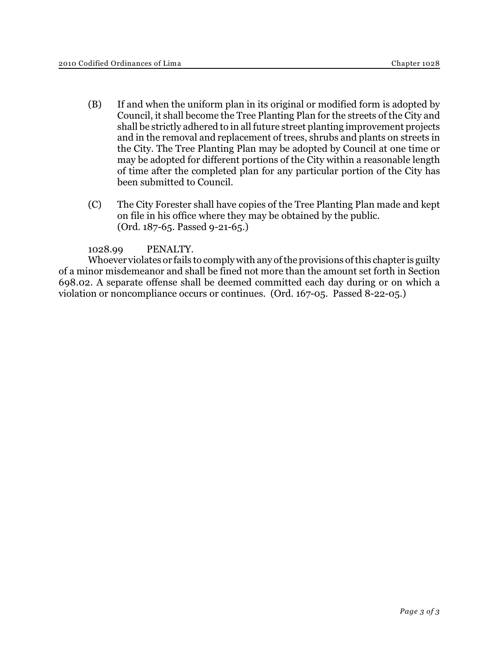- (B) If and when the uniform plan in its original or modified form is adopted by Council, it shall become the Tree Planting Plan for the streets of the City and shall be strictly adhered to in all future street planting improvement projects and in the removal and replacement of trees, shrubs and plants on streets in the City. The Tree Planting Plan may be adopted by Council at one time or may be adopted for different portions of the City within a reasonable length of time after the completed plan for any particular portion of the City has been submitted to Council.
- (C) The City Forester shall have copies of the Tree Planting Plan made and kept on file in his office where they may be obtained by the public. (Ord. 187-65. Passed 9-21-65.)

1028.99 PENALTY.

Whoever violates or fails to comply with any of the provisions of this chapter is guilty of a minor misdemeanor and shall be fined not more than the amount set forth in Section 698.02. A separate offense shall be deemed committed each day during or on which a violation or noncompliance occurs or continues. (Ord. 167-05. Passed 8-22-05.)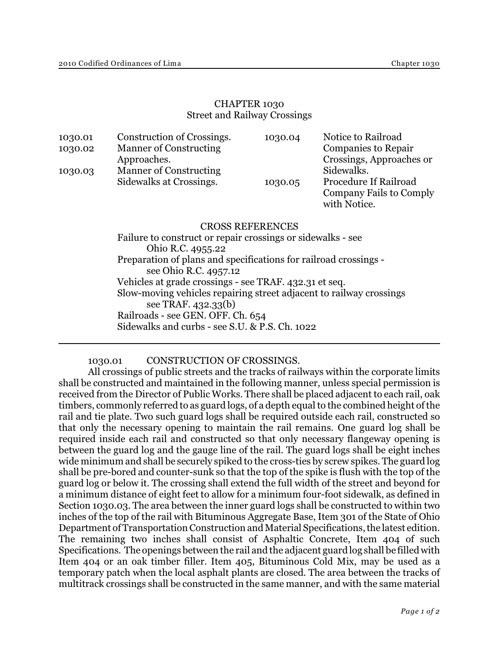# CHAPTER 1030 Street and Railway Crossings

| <b>Manner of Constructing</b><br>Sidewalks.<br>1030.03<br>Procedure If Railroad<br>Sidewalks at Crossings.<br>1030.05 | 1030.01<br>1030.02 | Construction of Crossings.<br><b>Manner of Constructing</b><br>Approaches. | 1030.04 | Notice to Railroad<br><b>Companies to Repair</b><br>Crossings, Approaches or |
|-----------------------------------------------------------------------------------------------------------------------|--------------------|----------------------------------------------------------------------------|---------|------------------------------------------------------------------------------|
|                                                                                                                       |                    |                                                                            |         | Company Fails to Comply<br>with Notice.                                      |

#### CROSS REFERENCES

Failure to construct or repair crossings or sidewalks - see Ohio R.C. 4955.22 Preparation of plans and specifications for railroad crossings see Ohio R.C. 4957.12 Vehicles at grade crossings - see TRAF. 432.31 et seq. Slow-moving vehicles repairing street adjacent to railway crossings see TRAF. 432.33(b) Railroads - see GEN. OFF. Ch. 654 Sidewalks and curbs - see S.U. & P.S. Ch. 1022

## 1030.01 CONSTRUCTION OF CROSSINGS.

All crossings of public streets and the tracks of railways within the corporate limits shall be constructed and maintained in the following manner, unless special permission is received from the Director of Public Works. There shall be placed adjacent to each rail, oak timbers, commonly referred to as guard logs, of a depth equal to the combined height of the rail and tie plate. Two such guard logs shall be required outside each rail, constructed so that only the necessary opening to maintain the rail remains. One guard log shall be required inside each rail and constructed so that only necessary flangeway opening is between the guard log and the gauge line of the rail. The guard logs shall be eight inches wide minimum and shall be securely spiked to the cross-ties by screw spikes. The guard log shall be pre-bored and counter-sunk so that the top of the spike is flush with the top of the guard log or below it. The crossing shall extend the full width of the street and beyond for a minimum distance of eight feet to allow for a minimum four-foot sidewalk, as defined in Section 1030.03. The area between the inner guard logs shall be constructed to within two inches of the top of the rail with Bituminous Aggregate Base, Item 301 of the State of Ohio Department of Transportation Construction and Material Specifications, the latest edition. The remaining two inches shall consist of Asphaltic Concrete, Item 404 of such Specifications. The openings between the rail and the adjacent guard log shall be filled with Item 404 or an oak timber filler. Item 405, Bituminous Cold Mix, may be used as a temporary patch when the local asphalt plants are closed. The area between the tracks of multitrack crossings shall be constructed in the same manner, and with the same material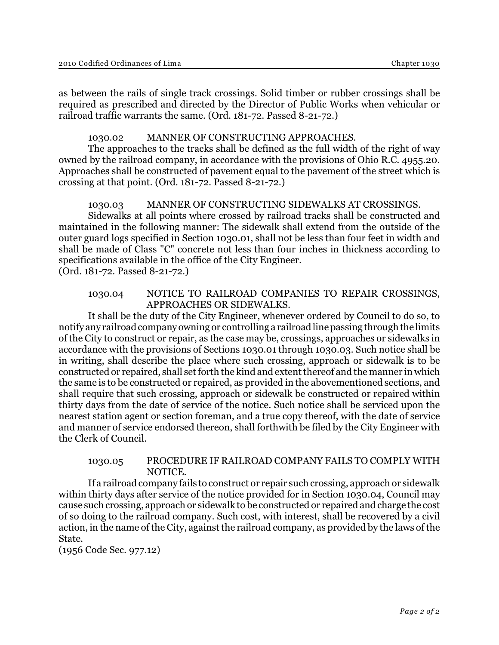as between the rails of single track crossings. Solid timber or rubber crossings shall be required as prescribed and directed by the Director of Public Works when vehicular or railroad traffic warrants the same. (Ord. 181-72. Passed 8-21-72.)

# 1030.02 MANNER OF CONSTRUCTING APPROACHES.

The approaches to the tracks shall be defined as the full width of the right of way owned by the railroad company, in accordance with the provisions of Ohio R.C. 4955.20. Approaches shall be constructed of pavement equal to the pavement of the street which is crossing at that point. (Ord. 181-72. Passed 8-21-72.)

## 1030.03 MANNER OF CONSTRUCTING SIDEWALKS AT CROSSINGS.

Sidewalks at all points where crossed by railroad tracks shall be constructed and maintained in the following manner: The sidewalk shall extend from the outside of the outer guard logs specified in Section 1030.01, shall not be less than four feet in width and shall be made of Class "C" concrete not less than four inches in thickness according to specifications available in the office of the City Engineer. (Ord. 181-72. Passed 8-21-72.)

#### 1030.04 NOTICE TO RAILROAD COMPANIES TO REPAIR CROSSINGS, APPROACHES OR SIDEWALKS.

It shall be the duty of the City Engineer, whenever ordered by Council to do so, to notify any railroad company owning or controlling a railroad line passing through the limits of the City to construct or repair, as the case may be, crossings, approaches or sidewalks in accordance with the provisions of Sections 1030.01 through 1030.03. Such notice shall be in writing, shall describe the place where such crossing, approach or sidewalk is to be constructed or repaired, shall set forth the kind and extent thereof and the manner in which the same is to be constructed or repaired, as provided in the abovementioned sections, and shall require that such crossing, approach or sidewalk be constructed or repaired within thirty days from the date of service of the notice. Such notice shall be serviced upon the nearest station agent or section foreman, and a true copy thereof, with the date of service and manner of service endorsed thereon, shall forthwith be filed by the City Engineer with the Clerk of Council.

## 1030.05 PROCEDURE IF RAILROAD COMPANY FAILS TO COMPLY WITH NOTICE.

If a railroadcompany fails to construct or repair such crossing, approach or sidewalk within thirty days after service of the notice provided for in Section 1030.04, Council may cause such crossing, approach or sidewalk to be constructed or repaired and charge the cost of so doing to the railroad company. Such cost, with interest, shall be recovered by a civil action, in the name of the City, against the railroad company, as provided by the laws of the State.

(1956 Code Sec. 977.12)